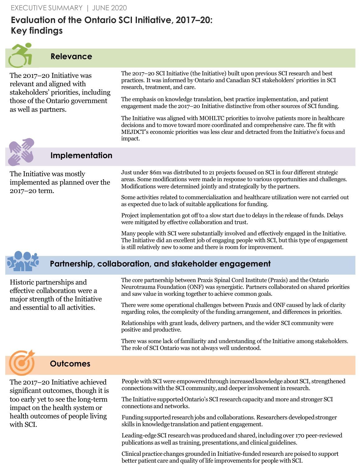# **Evaluation of the Ontario SCI Initiative, 2017–20: Key findings**



## **Relevance**

The 2017–20 Initiative was relevant and aligned with stakeholders' priorities, including those of the Ontario government as well as partners.

The 2017–20 SCI Initiative (the Initiative) built upon previous SCI research and best practices. It was informed by Ontario and Canadian SCI stakeholders' priorities in SCI research, treatment, and care.

The emphasis on knowledge translation, best practice implementation, and patient engagement made the 2017–20 Initiative distinctive from other sources of SCI funding.

The Initiative was aligned with MOHLTC priorities to involve patients more in healthcare decisions and to move toward more coordinated and comprehensive care. The fit with MEJDCT's economic priorities was less clear and detracted from the Initiative's focus and impact.



# **Implementation**

The Initiative was mostly implemented as planned over the 2017–20 term.

Just under \$6m was distributed to 21 projects focused on SCI in four different strategic areas. Some modifications were made in response to various opportunities and challenges. Modifications were determined jointly and strategically by the partners.

Some activities related to commercialization and healthcare utilization were not carried out as expected due to lack of suitable applications for funding.

Project implementation got off to a slow start due to delays in the release of funds. Delays were mitigated by effective collaboration and trust.

Many people with SCI were substantially involved and effectively engaged in the Initiative. The Initiative did an excellent job of engaging people with SCI, but this type of engagement is still relatively new to some and there is room for improvement.

## **Partnership, collaboration, and stakeholder engagement**

Historic partnerships and effective collaboration were a major strength of the Initiative and essential to all activities.

The core partnership between Praxis Spinal Cord Institute (Praxis) and the Ontario Neurotrauma Foundation (ONF) was synergistic. Partners collaborated on shared priorities and saw value in working together to achieve common goals.

There were some operational challenges between Praxis and ONF caused by lack of clarity regarding roles, the complexity of the funding arrangement, and differences in priorities.

Relationships with grant leads, delivery partners, and the wider SCI community were positive and productive.

There was some lack of familiarity and understanding of the Initiative among stakeholders. The role of SCI Ontario was not always well understood.

# **Outcomes**

The 2017–20 Initiative achieved significant outcomes, though it is too early yet to see the long-term impact on the health system or health outcomes of people living with SCI.

People with SCI were empowered through increased knowledge about SCI, strengthened connections with the SCI community, and deeper involvement in research.

The Initiative supported Ontario's SCI research capacity and more and stronger SCI connections and networks.

Funding supported research jobs and collaborations. Researchers developed stronger skills in knowledge translation and patient engagement.

Leading-edge SCI research was produced and shared, including over 170 peer-reviewed publications as well as training, presentations, and clinical guidelines.

Clinical practice changes grounded in Initiative-funded research are poised to support better patient care and quality of life improvements for people with SCI.